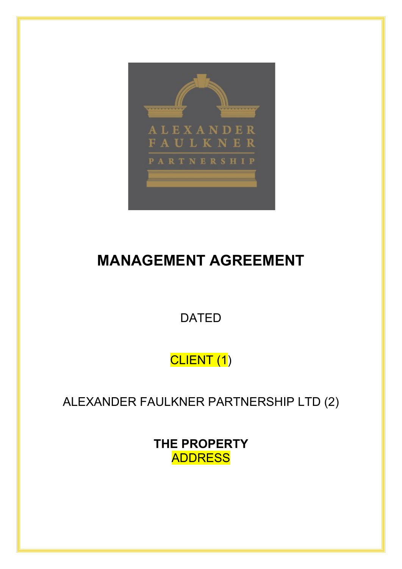

# **MANAGEMENT AGREEMENT**

DATED

CLIENT (1)

ALEXANDER FAULKNER PARTNERSHIP LTD (2)

**THE PROPERTY** ADDRESS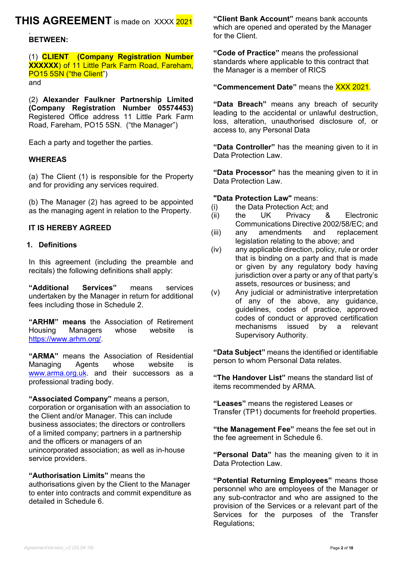## **THIS AGREEMENT** is made on XXXX 2021

#### . **BETWEEN:**

## (1) **CLIENT (Company Registration Number XXXXXX**) of 11 Little Park Farm Road, Fareham, PO<sub>15</sub> 5SN ("the Client")

and

(2) **Alexander Faulkner Partnership Limited (Company Registration Number 05574453)**  Registered Office address 11 Little Park Farm Road, Fareham, PO15 5SN. ("the Manager")

Each a party and together the parties.

### **WHEREAS**

(a) The Client (1) is responsible for the Property and for providing any services required.

(b) The Manager (2) has agreed to be appointed as the managing agent in relation to the Property.

#### **IT IS HEREBY AGREED**

#### **1. Definitions**

In this agreement (including the preamble and recitals) the following definitions shall apply:

**"Additional Services"** means services undertaken by the Manager in return for additional fees including those in Schedule 2.

**"ARHM" means** the Association of Retirement Managers whose website is [https://www.arhm.org/.](https://www.arhm.org/)

**"ARMA"** means the Association of Residential Managing Agents whose website is [www.arma.org.uk.](http://www.arma.org.uk/) and their successors as a professional trading body.

**"Associated Company"** means a person, corporation or organisation with an association to the Client and/or Manager. This can include business associates; the directors or controllers of a limited company; partners in a partnership and the officers or managers of an unincorporated association; as well as in-house service providers.

#### **"Authorisation Limits"** means the

authorisations given by the Client to the Manager to enter into contracts and commit expenditure as detailed in Schedule 6.

**"Client Bank Account"** means bank accounts which are opened and operated by the Manager for the Client.

**"Code of Practice"** means the professional standards where applicable to this contract that the Manager is a member of RICS

### **"Commencement Date"** means the XXX 2021.

**"Data Breach"** means any breach of security leading to the accidental or unlawful destruction, loss, alteration, unauthorised disclosure of, or access to, any Personal Data

**"Data Controller"** has the meaning given to it in Data Protection Law.

**"Data Processor"** has the meaning given to it in Data Protection Law.

#### **"Data Protection Law"** means:

- (i) the Data Protection Act; and
- (ii) the UK Privacy & Electronic Communications Directive 2002/58/EC; and
- (iii) any amendments and replacement legislation relating to the above; and
- (iv) any applicable direction, policy, rule or order that is binding on a party and that is made or given by any regulatory body having jurisdiction over a party or any of that party's assets, resources or business; and
- (v) Any judicial or administrative interpretation of any of the above, any guidance, guidelines, codes of practice, approved codes of conduct or approved certification mechanisms issued by a relevant Supervisory Authority.

**"Data Subject"** means the identified or identifiable person to whom Personal Data relates.

**"The Handover List"** means the standard list of items recommended by ARMA.

**"Leases"** means the registered Leases or Transfer (TP1) documents for freehold properties.

**"the Management Fee"** means the fee set out in the fee agreement in Schedule 6.

**"Personal Data"** has the meaning given to it in Data Protection Law.

**"Potential Returning Employees"** means those personnel who are employees of the Manager or any sub-contractor and who are assigned to the provision of the Services or a relevant part of the Services for the purposes of the Transfer Regulations;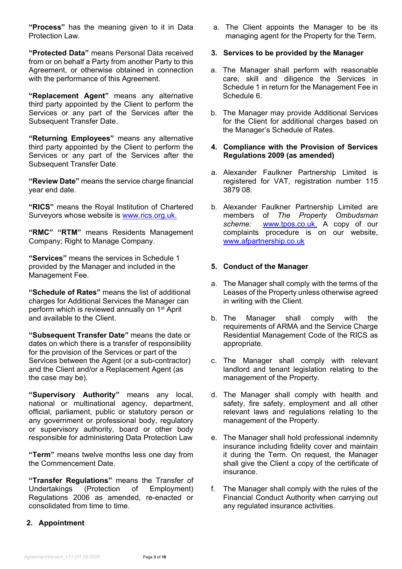**"Process"** has the meaning given to it in Data Protection Law.

**"Protected Data"** means Personal Data received from or on behalf a Party from another Party to this Agreement, or otherwise obtained in connection with the performance of this Agreement.

**"Replacement Agent"** means any alternative third party appointed by the Client to perform the Services or any part of the Services after the Subsequent Transfer Date.

**"Returning Employees"** means any alternative third party appointed by the Client to perform the Services or any part of the Services after the Subsequent Transfer Date.

**"Review Date"** means the service charge financial year end date.

**"RICS"** means the Royal Institution of Chartered Surveyors whose website is [www.rics.org.uk.](http://www.rics.org.uk/)

**"RMC" "RTM"** means Residents Management Company; Right to Manage Company.

**"Services"** means the services in Schedule 1 provided by the Manager and included in the Management Fee.

**"Schedule of Rates"** means the list of additional charges for Additional Services the Manager can perform which is reviewed annually on 1st April and available to the Client.

**"Subsequent Transfer Date"** means the date or dates on which there is a transfer of responsibility for the provision of the Services or part of the Services between the Agent (or a sub-contractor) and the Client and/or a Replacement Agent (as the case may be).

**"Supervisory Authority"** means any local, national or multinational agency, department, official, parliament, public or statutory person or any government or professional body, regulatory or supervisory authority, board or other body responsible for administering Data Protection Law

**"Term"** means twelve months less one day from the Commencement Date.

**"Transfer Regulations"** means the Transfer of Undertakings (Protection of Regulations 2006 as amended, re-enacted or consolidated from time to time.

a. The Client appoints the Manager to be its managing agent for the Property for the Term.

### **3. Services to be provided by the Manager**

- a. The Manager shall perform with reasonable care, skill and diligence the Services in Schedule 1 in return for the Management Fee in Schedule 6.
- b. The Manager may provide Additional Services for the Client for additional charges based on the Manager's Schedule of Rates.

#### **4. Compliance with the Provision of Services Regulations 2009 (as amended)**

- a. Alexander Faulkner Partnership Limited is registered for VAT, registration number 115 3879 08.
- b. Alexander Faulkner Partnership Limited are members of *The Property Ombudsman scheme:* [www.tpos.co.uk.](http://www.tpos.co.uk/) A copy of our complaints procedure is on our website, [www.afpartnership.co.uk](http://www.afpartnership.co.uk/)

### **5. Conduct of the Manager**

- a. The Manager shall comply with the terms of the Leases of the Property unless otherwise agreed in writing with the Client.
- b. The Manager shall comply with the requirements of ARMA and the Service Charge Residential Management Code of the RICS as appropriate.
- c. The Manager shall comply with relevant landlord and tenant legislation relating to the management of the Property.
- d. The Manager shall comply with health and safety, fire safety, employment and all other relevant laws and regulations relating to the management of the Property.
- e. The Manager shall hold professional indemnity insurance including fidelity cover and maintain it during the Term. On request, the Manager shall give the Client a copy of the certificate of insurance.
- f. The Manager shall comply with the rules of the Financial Conduct Authority when carrying out any regulated insurance activities.

## **2. Appointment**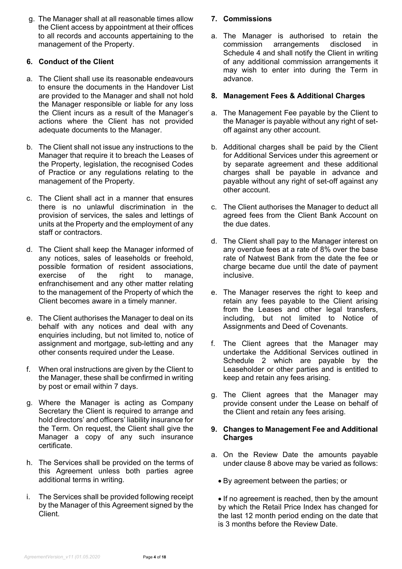g. The Manager shall at all reasonable times allow the Client access by appointment at their offices to all records and accounts appertaining to the management of the Property.

## **6. Conduct of the Client**

- a. The Client shall use its reasonable endeavours to ensure the documents in the Handover List are provided to the Manager and shall not hold the Manager responsible or liable for any loss the Client incurs as a result of the Manager's actions where the Client has not provided adequate documents to the Manager.
- b. The Client shall not issue any instructions to the Manager that require it to breach the Leases of the Property, legislation, the recognised Codes of Practice or any regulations relating to the management of the Property.
- c. The Client shall act in a manner that ensures there is no unlawful discrimination in the provision of services, the sales and lettings of units at the Property and the employment of any staff or contractors.
- d. The Client shall keep the Manager informed of any notices, sales of leaseholds or freehold, possible formation of resident associations, exercise of the right to manage, enfranchisement and any other matter relating to the management of the Property of which the Client becomes aware in a timely manner.
- e. The Client authorises the Manager to deal on its behalf with any notices and deal with any enquiries including, but not limited to, notice of assignment and mortgage, sub-letting and any other consents required under the Lease.
- f. When oral instructions are given by the Client to the Manager, these shall be confirmed in writing by post or email within 7 days.
- g. Where the Manager is acting as Company Secretary the Client is required to arrange and hold directors' and officers' liability insurance for the Term. On request, the Client shall give the Manager a copy of any such insurance certificate.
- h. The Services shall be provided on the terms of this Agreement unless both parties agree additional terms in writing.
- The Services shall be provided following receipt by the Manager of this Agreement signed by the Client.

## **7. Commissions**

a. The Manager is authorised to retain the commission arrangements disclosed in Schedule 4 and shall notify the Client in writing of any additional commission arrangements it may wish to enter into during the Term in advance.

## **8. Management Fees & Additional Charges**

- a. The Management Fee payable by the Client to the Manager is payable without any right of setoff against any other account.
- b. Additional charges shall be paid by the Client for Additional Services under this agreement or by separate agreement and these additional charges shall be payable in advance and payable without any right of set-off against any other account.
- c. The Client authorises the Manager to deduct all agreed fees from the Client Bank Account on the due dates.
- d. The Client shall pay to the Manager interest on any overdue fees at a rate of 8% over the base rate of Natwest Bank from the date the fee or charge became due until the date of payment inclusive.
- e. The Manager reserves the right to keep and retain any fees payable to the Client arising from the Leases and other legal transfers, including, but not limited to Notice of Assignments and Deed of Covenants.
- f. The Client agrees that the Manager may undertake the Additional Services outlined in Schedule 2 which are payable by the Leaseholder or other parties and is entitled to keep and retain any fees arising.
- g. The Client agrees that the Manager may provide consent under the Lease on behalf of the Client and retain any fees arising.

### **9. Changes to Management Fee and Additional Charges**

- a. On the Review Date the amounts payable under clause 8 above may be varied as follows:
	- By agreement between the parties; or

• If no agreement is reached, then by the amount by which the Retail Price Index has changed for the last 12 month period ending on the date that is 3 months before the Review Date.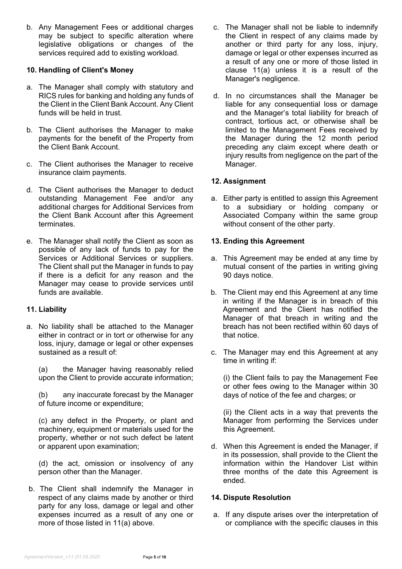b. Any Management Fees or additional charges may be subject to specific alteration where legislative obligations or changes of the services required add to existing workload.

## **10. Handling of Client's Money**

- a. The Manager shall comply with statutory and RICS rules for banking and holding any funds of the Client in the Client Bank Account. Any Client funds will be held in trust.
- b. The Client authorises the Manager to make payments for the benefit of the Property from the Client Bank Account.
- c. The Client authorises the Manager to receive insurance claim payments.
- d. The Client authorises the Manager to deduct outstanding Management Fee and/or any additional charges for Additional Services from the Client Bank Account after this Agreement terminates.
- e. The Manager shall notify the Client as soon as possible of any lack of funds to pay for the Services or Additional Services or suppliers. The Client shall put the Manager in funds to pay if there is a deficit for any reason and the Manager may cease to provide services until funds are available.

### **11. Liability**

a. No liability shall be attached to the Manager either in contract or in tort or otherwise for any loss, injury, damage or legal or other expenses sustained as a result of:

(a) the Manager having reasonably relied upon the Client to provide accurate information;

(b) any inaccurate forecast by the Manager of future income or expenditure;

(c) any defect in the Property, or plant and machinery, equipment or materials used for the property, whether or not such defect be latent or apparent upon examination;

(d) the act, omission or insolvency of any person other than the Manager.

b. The Client shall indemnify the Manager in respect of any claims made by another or third party for any loss, damage or legal and other expenses incurred as a result of any one or more of those listed in 11(a) above.

- c. The Manager shall not be liable to indemnify the Client in respect of any claims made by another or third party for any loss, injury, damage or legal or other expenses incurred as a result of any one or more of those listed in clause 11(a) unless it is a result of the Manager's negligence.
- d. In no circumstances shall the Manager be liable for any consequential loss or damage and the Manager's total liability for breach of contract, tortious act, or otherwise shall be limited to the Management Fees received by the Manager during the 12 month period preceding any claim except where death or injury results from negligence on the part of the Manager.

## **12. Assignment**

a. Either party is entitled to assign this Agreement to a subsidiary or holding company or Associated Company within the same group without consent of the other party.

### **13. Ending this Agreement**

- a. This Agreement may be ended at any time by mutual consent of the parties in writing giving 90 days notice.
- b. The Client may end this Agreement at any time in writing if the Manager is in breach of this Agreement and the Client has notified the Manager of that breach in writing and the breach has not been rectified within 60 days of that notice.
- c. The Manager may end this Agreement at any time in writing if:

(i) the Client fails to pay the Management Fee or other fees owing to the Manager within 30 days of notice of the fee and charges; or

(ii) the Client acts in a way that prevents the Manager from performing the Services under this Agreement.

d. When this Agreement is ended the Manager, if in its possession, shall provide to the Client the information within the Handover List within three months of the date this Agreement is ended.

### **14. Dispute Resolution**

a. If any dispute arises over the interpretation of or compliance with the specific clauses in this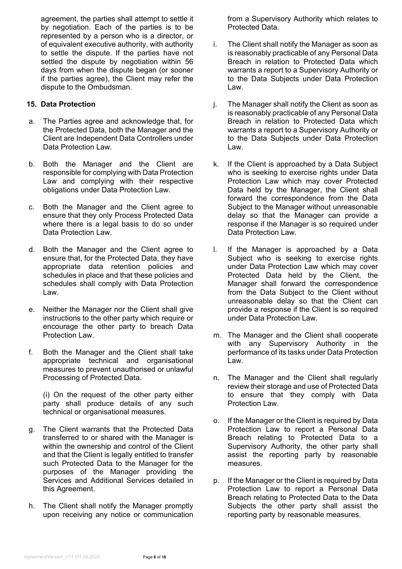agreement, the parties shall attempt to settle it by negotiation. Each of the parties is to be represented by a person who is a director, or of equivalent executive authority, with authority to settle the dispute. If the parties have not settled the dispute by negotiation within 56 days from when the dispute began (or sooner if the parties agree), the Client may refer the dispute to the Ombudsman.

### **15. Data Protection**

- a. The Parties agree and acknowledge that, for the Protected Data, both the Manager and the Client are Independent Data Controllers under Data Protection Law
- b. Both the Manager and the Client are responsible for complying with Data Protection Law and complying with their respective obligations under Data Protection Law.
- c. Both the Manager and the Client agree to ensure that they only Process Protected Data where there is a legal basis to do so under Data Protection Law.
- d. Both the Manager and the Client agree to ensure that, for the Protected Data, they have appropriate data retention policies and schedules in place and that these policies and schedules shall comply with Data Protection Law.
- e. Neither the Manager nor the Client shall give instructions to the other party which require or encourage the other party to breach Data Protection Law.
- f. Both the Manager and the Client shall take appropriate technical and organisational measures to prevent unauthorised or unlawful Processing of Protected Data.

(i) On the request of the other party either party shall produce details of any such technical or organisational measures.

- g. The Client warrants that the Protected Data transferred to or shared with the Manager is within the ownership and control of the Client and that the Client is legally entitled to transfer such Protected Data to the Manager for the purposes of the Manager providing the Services and Additional Services detailed in this Agreement.
- h. The Client shall notify the Manager promptly upon receiving any notice or communication

from a Supervisory Authority which relates to Protected Data.

- i. The Client shall notify the Manager as soon as is reasonably practicable of any Personal Data Breach in relation to Protected Data which warrants a report to a Supervisory Authority or to the Data Subjects under Data Protection Law.
- j. The Manager shall notify the Client as soon as is reasonably practicable of any Personal Data Breach in relation to Protected Data which warrants a report to a Supervisory Authority or to the Data Subjects under Data Protection Law.
- k. If the Client is approached by a Data Subject who is seeking to exercise rights under Data Protection Law which may cover Protected Data held by the Manager, the Client shall forward the correspondence from the Data Subject to the Manager without unreasonable delay so that the Manager can provide a response if the Manager is so required under Data Protection Law.
- l. If the Manager is approached by a Data Subject who is seeking to exercise rights under Data Protection Law which may cover Protected Data held by the Client, the Manager shall forward the correspondence from the Data Subject to the Client without unreasonable delay so that the Client can provide a response if the Client is so required under Data Protection Law.
- m. The Manager and the Client shall cooperate with any Supervisory Authority in the performance of its tasks under Data Protection Law.
- n. The Manager and the Client shall regularly review their storage and use of Protected Data to ensure that they comply with Data Protection Law.
- o. If the Manager or the Client is required by Data Protection Law to report a Personal Data Breach relating to Protected Data to a Supervisory Authority, the other party shall assist the reporting party by reasonable measures.
- p. If the Manager or the Client is required by Data Protection Law to report a Personal Data Breach relating to Protected Data to the Data Subjects the other party shall assist the reporting party by reasonable measures.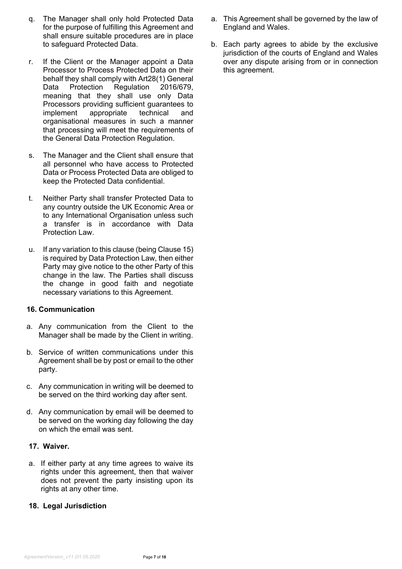- q. The Manager shall only hold Protected Data for the purpose of fulfilling this Agreement and shall ensure suitable procedures are in place to safeguard Protected Data.
- r. If the Client or the Manager appoint a Data Processor to Process Protected Data on their behalf they shall comply with Art28(1) General Data Protection Regulation 2016/679, meaning that they shall use only Data Processors providing sufficient guarantees to implement appropriate technical and organisational measures in such a manner that processing will meet the requirements of the General Data Protection Regulation.
- s. The Manager and the Client shall ensure that all personnel who have access to Protected Data or Process Protected Data are obliged to keep the Protected Data confidential.
- t. Neither Party shall transfer Protected Data to any country outside the UK Economic Area or to any International Organisation unless such a transfer is in accordance with Data Protection Law.
- u. If any variation to this clause (being Clause 15) is required by Data Protection Law, then either Party may give notice to the other Party of this change in the law. The Parties shall discuss the change in good faith and negotiate necessary variations to this Agreement.

### **16. Communication**

- a. Any communication from the Client to the Manager shall be made by the Client in writing.
- b. Service of written communications under this Agreement shall be by post or email to the other party.
- c. Any communication in writing will be deemed to be served on the third working day after sent.
- d. Any communication by email will be deemed to be served on the working day following the day on which the email was sent.

### **17. Waiver.**

a. If either party at any time agrees to waive its rights under this agreement, then that waiver does not prevent the party insisting upon its rights at any other time.

### **18. Legal Jurisdiction**

- a. This Agreement shall be governed by the law of England and Wales.
- b. Each party agrees to abide by the exclusive jurisdiction of the courts of England and Wales over any dispute arising from or in connection this agreement.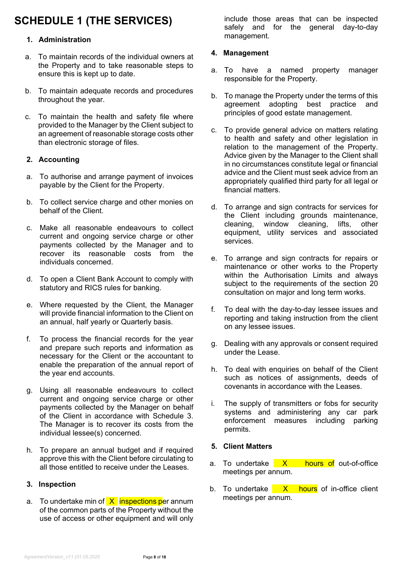## **SCHEDULE 1 (THE SERVICES)**

## **1. Administration**

- a. To maintain records of the individual owners at the Property and to take reasonable steps to ensure this is kept up to date.
- b. To maintain adequate records and procedures throughout the year.
- c. To maintain the health and safety file where provided to the Manager by the Client subject to an agreement of reasonable storage costs other than electronic storage of files.

## **2. Accounting**

- a. To authorise and arrange payment of invoices payable by the Client for the Property.
- b. To collect service charge and other monies on behalf of the Client.
- c. Make all reasonable endeavours to collect current and ongoing service charge or other payments collected by the Manager and to recover its reasonable costs from the individuals concerned.
- d. To open a Client Bank Account to comply with statutory and RICS rules for banking.
- e. Where requested by the Client, the Manager will provide financial information to the Client on an annual, half yearly or Quarterly basis.
- f. To process the financial records for the year and prepare such reports and information as necessary for the Client or the accountant to enable the preparation of the annual report of the year end accounts.
- g. Using all reasonable endeavours to collect current and ongoing service charge or other payments collected by the Manager on behalf of the Client in accordance with Schedule 3. The Manager is to recover its costs from the individual lessee(s) concerned.
- h. To prepare an annual budget and if required approve this with the Client before circulating to all those entitled to receive under the Leases.

### **3. Inspection**

a. To undertake min of  $X$  inspections per annum of the common parts of the Property without the use of access or other equipment and will only include those areas that can be inspected safely and for the general day-to-day management.

## **4. Management**

- a. To have a named property manager responsible for the Property.
- b. To manage the Property under the terms of this agreement adopting best practice and principles of good estate management.
- c. To provide general advice on matters relating to health and safety and other legislation in relation to the management of the Property. Advice given by the Manager to the Client shall in no circumstances constitute legal or financial advice and the Client must seek advice from an appropriately qualified third party for all legal or financial matters.
- d. To arrange and sign contracts for services for the Client including grounds maintenance, cleaning, window cleaning, lifts, other equipment, utility services and associated services.
- e. To arrange and sign contracts for repairs or maintenance or other works to the Property within the Authorisation Limits and always subject to the requirements of the section 20 consultation on major and long term works.
- f. To deal with the day-to-day lessee issues and reporting and taking instruction from the client on any lessee issues.
- g. Dealing with any approvals or consent required under the Lease.
- h. To deal with enquiries on behalf of the Client such as notices of assignments, deeds of covenants in accordance with the Leases.
- i. The supply of transmitters or fobs for security systems and administering any car park enforcement measures including parking permits.

### **5. Client Matters**

- a. To undertake  $\overline{X}$  hours of out-of-office meetings per annum.
- b. To undertake  $\overline{X}$  hours of in-office client meetings per annum.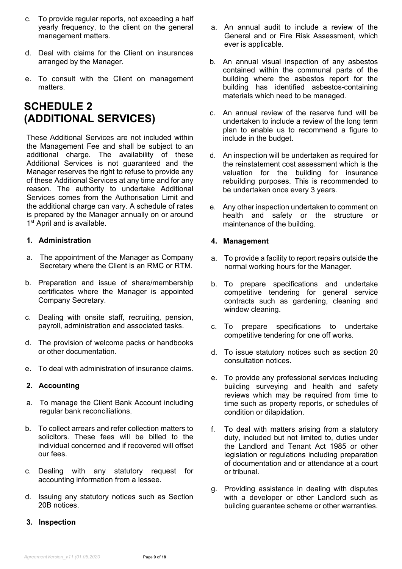- c. To provide regular reports, not exceeding a half yearly frequency, to the client on the general management matters.
- d. Deal with claims for the Client on insurances arranged by the Manager.
- e. To consult with the Client on management matters.

## **SCHEDULE 2 (ADDITIONAL SERVICES)**

These Additional Services are not included within the Management Fee and shall be subject to an additional charge. The availability of these Additional Services is not guaranteed and the Manager reserves the right to refuse to provide any of these Additional Services at any time and for any reason. The authority to undertake Additional Services comes from the Authorisation Limit and the additional charge can vary. A schedule of rates is prepared by the Manager annually on or around 1<sup>st</sup> April and is available.

## **1. Administration**

- a. The appointment of the Manager as Company Secretary where the Client is an RMC or RTM.
- b. Preparation and issue of share/membership certificates where the Manager is appointed Company Secretary.
- c. Dealing with onsite staff, recruiting, pension, payroll, administration and associated tasks.
- d. The provision of welcome packs or handbooks or other documentation.
- e. To deal with administration of insurance claims.

### **2. Accounting**

- a. To manage the Client Bank Account including regular bank reconciliations.
- b. To collect arrears and refer collection matters to solicitors. These fees will be billed to the individual concerned and if recovered will offset our fees.
- c. Dealing with any statutory request for accounting information from a lessee.
- d. Issuing any statutory notices such as Section 20B notices.
- **3. Inspection**
- a. An annual audit to include a review of the General and or Fire Risk Assessment, which ever is applicable.
- b. An annual visual inspection of any asbestos contained within the communal parts of the building where the asbestos report for the building has identified asbestos-containing materials which need to be managed.
- c. An annual review of the reserve fund will be undertaken to include a review of the long term plan to enable us to recommend a figure to include in the budget.
- d. An inspection will be undertaken as required for the reinstatement cost assessment which is the valuation for the building for insurance rebuilding purposes. This is recommended to be undertaken once every 3 years.
- e. Any other inspection undertaken to comment on health and safety or the structure or maintenance of the building.

### **4. Management**

- a. To provide a facility to report repairs outside the normal working hours for the Manager.
- b. To prepare specifications and undertake competitive tendering for general service contracts such as gardening, cleaning and window cleaning.
- c. To prepare specifications to undertake competitive tendering for one off works.
- d. To issue statutory notices such as section 20 consultation notices.
- e. To provide any professional services including building surveying and health and safety reviews which may be required from time to time such as property reports, or schedules of condition or dilapidation.
- f. To deal with matters arising from a statutory duty, included but not limited to, duties under the Landlord and Tenant Act 1985 or other legislation or regulations including preparation of documentation and or attendance at a court or tribunal.
- g. Providing assistance in dealing with disputes with a developer or other Landlord such as building guarantee scheme or other warranties.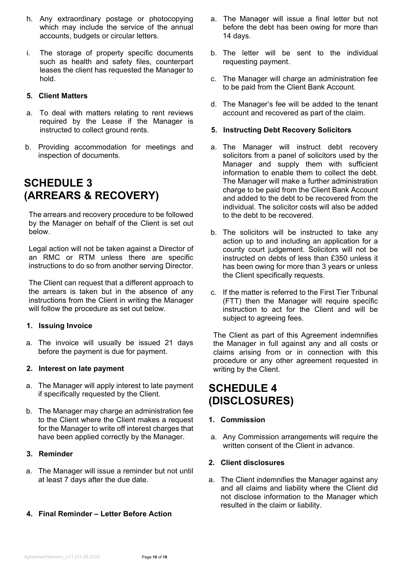- h. Any extraordinary postage or photocopying which may include the service of the annual accounts, budgets or circular letters.
- i. The storage of property specific documents such as health and safety files, counterpart leases the client has requested the Manager to hold.

## **5. Client Matters**

- a. To deal with matters relating to rent reviews required by the Lease if the Manager is instructed to collect ground rents.
- b. Providing accommodation for meetings and inspection of documents.

## **SCHEDULE 3 (ARREARS & RECOVERY)**

The arrears and recovery procedure to be followed by the Manager on behalf of the Client is set out below.

Legal action will not be taken against a Director of an RMC or RTM unless there are specific instructions to do so from another serving Director.

The Client can request that a different approach to the arrears is taken but in the absence of any instructions from the Client in writing the Manager will follow the procedure as set out below.

### **1. Issuing Invoice**

a. The invoice will usually be issued 21 days before the payment is due for payment.

## **2. Interest on late payment**

- a. The Manager will apply interest to late payment if specifically requested by the Client.
- b. The Manager may charge an administration fee to the Client where the Client makes a request for the Manager to write off interest charges that have been applied correctly by the Manager.

### **3. Reminder**

- a. The Manager will issue a reminder but not until at least 7 days after the due date.
- **4. Final Reminder – Letter Before Action**
- a. The Manager will issue a final letter but not before the debt has been owing for more than 14 days.
- b. The letter will be sent to the individual requesting payment.
- c. The Manager will charge an administration fee to be paid from the Client Bank Account.
- d. The Manager's fee will be added to the tenant account and recovered as part of the claim.

### **5. Instructing Debt Recovery Solicitors**

- a. The Manager will instruct debt recovery solicitors from a panel of solicitors used by the Manager and supply them with sufficient information to enable them to collect the debt. The Manager will make a further administration charge to be paid from the Client Bank Account and added to the debt to be recovered from the individual. The solicitor costs will also be added to the debt to be recovered.
- b. The solicitors will be instructed to take any action up to and including an application for a county court judgement. Solicitors will not be instructed on debts of less than £350 unless it has been owing for more than 3 years or unless the Client specifically requests.
- c. If the matter is referred to the First Tier Tribunal (FTT) then the Manager will require specific instruction to act for the Client and will be subject to agreeing fees.

The Client as part of this Agreement indemnifies the Manager in full against any and all costs or claims arising from or in connection with this procedure or any other agreement requested in writing by the Client.

## **SCHEDULE 4 (DISCLOSURES)**

## **1. Commission**

a. Any Commission arrangements will require the written consent of the Client in advance.

### **2. Client disclosures**

a. The Client indemnifies the Manager against any and all claims and liability where the Client did not disclose information to the Manager which resulted in the claim or liability.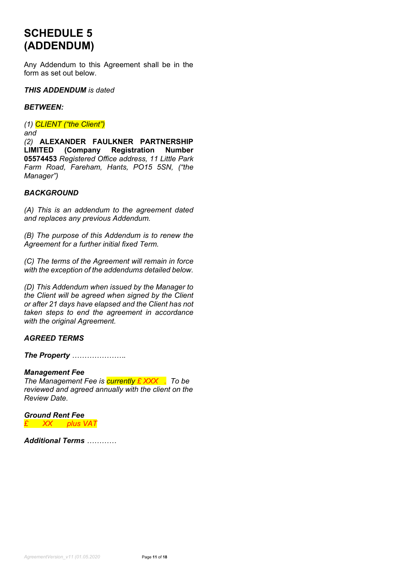## **SCHEDULE 5 (ADDENDUM)**

Any Addendum to this Agreement shall be in the form as set out below.

#### *THIS ADDENDUM is dated*

#### *BETWEEN:*

*(1) CLIENT ("the Client")*

*and*

*(2)* **ALEXANDER FAULKNER PARTNERSHIP LIMITED (Company Registration Number 05574453** *Registered Office address, 11 Little Park Farm Road, Fareham, Hants, PO15 5SN, ("the Manager")*

## *BACKGROUND*

*(A) This is an addendum to the agreement dated and replaces any previous Addendum.*

*(B) The purpose of this Addendum is to renew the Agreement for a further initial fixed Term.*

*(C) The terms of the Agreement will remain in force with the exception of the addendums detailed below.*

*(D) This Addendum when issued by the Manager to the Client will be agreed when signed by the Client or after 21 days have elapsed and the Client has not taken steps to end the agreement in accordance with the original Agreement.*

### *AGREED TERMS*

*The Property ………………….*

### *Management Fee*

*The Management Fee is currently £ XXX . To be reviewed and agreed annually with the client on the Review Date.*

*Ground Rent Fee £ XX plus VAT*

*Additional Terms …………*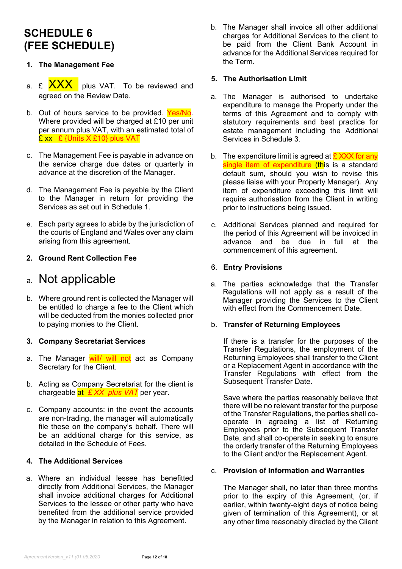## **SCHEDULE 6 (FEE SCHEDULE)**

## **1. The Management Fee**

- a. £ **XXX** plus VAT. To be reviewed and agreed on the Review Date.
- b. Out of hours service to be provided. Yes/No. Where provided will be charged at £10 per unit per annum plus VAT, with an estimated total of £ xx £ {Units X £10} plus VAT
- c. The Management Fee is payable in advance on the service charge due dates or quarterly in advance at the discretion of the Manager.
- d. The Management Fee is payable by the Client to the Manager in return for providing the Services as set out in Schedule 1.
- e. Each party agrees to abide by the jurisdiction of the courts of England and Wales over any claim arising from this agreement.

## **2. Ground Rent Collection Fee**

## a. Not applicable

b. Where ground rent is collected the Manager will be entitled to charge a fee to the Client which will be deducted from the monies collected prior to paying monies to the Client.

### **3. Company Secretariat Services**

- a. The Manager will/ will not act as Company Secretary for the Client.
- b. Acting as Company Secretariat for the client is chargeable at *£ XX plus VAT* per year.
- c. Company accounts: in the event the accounts are non-trading, the manager will automatically file these on the company's behalf. There will be an additional charge for this service, as detailed in the Schedule of Fees.

## **4. The Additional Services**

a. Where an individual lessee has benefitted directly from Additional Services, the Manager shall invoice additional charges for Additional Services to the lessee or other party who have benefited from the additional service provided by the Manager in relation to this Agreement.

b. The Manager shall invoice all other additional charges for Additional Services to the client to be paid from the Client Bank Account in advance for the Additional Services required for the Term.

## **5. The Authorisation Limit**

- a. The Manager is authorised to undertake expenditure to manage the Property under the terms of this Agreement and to comply with statutory requirements and best practice for estate management including the Additional Services in Schedule 3.
- b. The expenditure limit is agreed at  $\frac{1}{2}$  XXX for any single item of expenditure (this is a standard default sum, should you wish to revise this please liaise with your Property Manager). Any item of expenditure exceeding this limit will require authorisation from the Client in writing prior to instructions being issued.
- c. Additional Services planned and required for the period of this Agreement will be invoiced in advance and be due in full at the commencement of this agreement.

## 6. **Entry Provisions**

a. The parties acknowledge that the Transfer Regulations will not apply as a result of the Manager providing the Services to the Client with effect from the Commencement Date.

### b. **Transfer of Returning Employees**

If there is a transfer for the purposes of the Transfer Regulations, the employment of the Returning Employees shall transfer to the Client or a Replacement Agent in accordance with the Transfer Regulations with effect from the Subsequent Transfer Date.

Save where the parties reasonably believe that there will be no relevant transfer for the purpose of the Transfer Regulations, the parties shall cooperate in agreeing a list of Returning Employees prior to the Subsequent Transfer Date, and shall co-operate in seeking to ensure the orderly transfer of the Returning Employees to the Client and/or the Replacement Agent.

## c. **Provision of Information and Warranties**

The Manager shall, no later than three months prior to the expiry of this Agreement, (or, if earlier, within twenty-eight days of notice being given of termination of this Agreement), or at any other time reasonably directed by the Client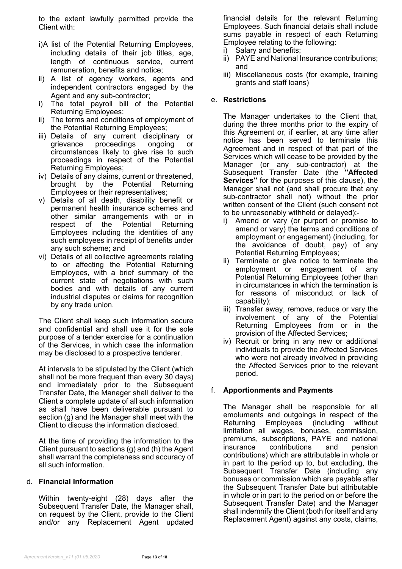to the extent lawfully permitted provide the Client with:

- i)A list of the Potential Returning Employees, including details of their job titles, age, length of continuous service, current remuneration, benefits and notice;
- ii) A list of agency workers, agents and independent contractors engaged by the Agent and any sub-contractor;
- i) The total payroll bill of the Potential Returning Employees;
- ii) The terms and conditions of employment of the Potential Returning Employees;
- iii) Details of any current disciplinary or grievance proceedings ongoing or circumstances likely to give rise to such proceedings in respect of the Potential Returning Employees;
- iv) Details of any claims, current or threatened, brought by the Potential Returning Employees or their representatives;
- v) Details of all death, disability benefit or permanent health insurance schemes and other similar arrangements with or in respect of the Potential Returning Employees including the identities of any such employees in receipt of benefits under any such scheme; and
- vi) Details of all collective agreements relating to or affecting the Potential Returning Employees, with a brief summary of the current state of negotiations with such bodies and with details of any current industrial disputes or claims for recognition by any trade union.

The Client shall keep such information secure and confidential and shall use it for the sole purpose of a tender exercise for a continuation of the Services, in which case the information may be disclosed to a prospective tenderer.

At intervals to be stipulated by the Client (which shall not be more frequent than every 30 days) and immediately prior to the Subsequent Transfer Date, the Manager shall deliver to the Client a complete update of all such information as shall have been deliverable pursuant to section (g) and the Manager shall meet with the Client to discuss the information disclosed.

At the time of providing the information to the Client pursuant to sections (g) and (h) the Agent shall warrant the completeness and accuracy of all such information.

### d. **Financial Information**

Within twenty-eight (28) days after the Subsequent Transfer Date, the Manager shall, on request by the Client, provide to the Client and/or any Replacement Agent updated financial details for the relevant Returning Employees. Such financial details shall include sums payable in respect of each Returning Employee relating to the following:

- i) Salary and benefits;
- ii) PAYE and National Insurance contributions; and
- iii) Miscellaneous costs (for example, training grants and staff loans)

## e. **Restrictions**

The Manager undertakes to the Client that, during the three months prior to the expiry of this Agreement or, if earlier, at any time after notice has been served to terminate this Agreement and in respect of that part of the Services which will cease to be provided by the Manager (or any sub-contractor) at the Subsequent Transfer Date (the **"Affected Services"** for the purposes of this clause), the Manager shall not (and shall procure that any sub-contractor shall not) without the prior written consent of the Client (such consent not to be unreasonably withheld or delayed):-

- i) Amend or vary (or purport or promise to amend or vary) the terms and conditions of employment or engagement) (including, for the avoidance of doubt, pay) of any Potential Returning Employees;
- ii) Terminate or give notice to terminate the employment or engagement of any Potential Returning Employees (other than in circumstances in which the termination is for reasons of misconduct or lack of capability);
- iii) Transfer away, remove, reduce or vary the involvement of any of the Potential Returning Employees from or in the provision of the Affected Services;
- iv) Recruit or bring in any new or additional individuals to provide the Affected Services who were not already involved in providing the Affected Services prior to the relevant period.

## f. **Apportionments and Payments**

The Manager shall be responsible for all emoluments and outgoings in respect of the Returning Employees (including without limitation all wages, bonuses, commission, premiums, subscriptions, PAYE and national insurance contributions and pension contributions) which are attributable in whole or in part to the period up to, but excluding, the Subsequent Transfer Date (including any bonuses or commission which are payable after the Subsequent Transfer Date but attributable in whole or in part to the period on or before the Subsequent Transfer Date) and the Manager shall indemnify the Client (both for itself and any Replacement Agent) against any costs, claims,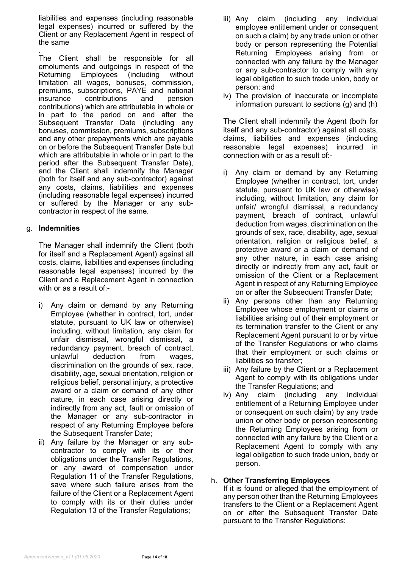liabilities and expenses (including reasonable legal expenses) incurred or suffered by the Client or any Replacement Agent in respect of the same

. The Client shall be responsible for all emoluments and outgoings in respect of the Returning Employees (including without limitation all wages, bonuses, commission, premiums, subscriptions, PAYE and national insurance contributions and contributions) which are attributable in whole or in part to the period on and after the Subsequent Transfer Date (including any bonuses, commission, premiums, subscriptions and any other prepayments which are payable on or before the Subsequent Transfer Date but which are attributable in whole or in part to the period after the Subsequent Transfer Date), and the Client shall indemnify the Manager (both for itself and any sub-contractor) against any costs, claims, liabilities and expenses (including reasonable legal expenses) incurred or suffered by the Manager or any subcontractor in respect of the same.

## g. **Indemnities**

The Manager shall indemnify the Client (both for itself and a Replacement Agent) against all costs, claims, liabilities and expenses (including reasonable legal expenses) incurred by the Client and a Replacement Agent in connection with or as a result of:-

- i) Any claim or demand by any Returning Employee (whether in contract, tort, under statute, pursuant to UK law or otherwise) including, without limitation, any claim for unfair dismissal, wrongful dismissal, a redundancy payment, breach of contract, unlawful deduction from wages, discrimination on the grounds of sex, race, disability, age, sexual orientation, religion or religious belief, personal injury, a protective award or a claim or demand of any other nature, in each case arising directly or indirectly from any act, fault or omission of the Manager or any sub-contractor in respect of any Returning Employee before the Subsequent Transfer Date;
- ii) Any failure by the Manager or any subcontractor to comply with its or their obligations under the Transfer Regulations, or any award of compensation under Regulation 11 of the Transfer Regulations, save where such failure arises from the failure of the Client or a Replacement Agent to comply with its or their duties under Regulation 13 of the Transfer Regulations;
- iii) Any claim (including any individual employee entitlement under or consequent on such a claim) by any trade union or other body or person representing the Potential Returning Employees arising from or connected with any failure by the Manager or any sub-contractor to comply with any legal obligation to such trade union, body or person; and
- iv) The provision of inaccurate or incomplete information pursuant to sections (g) and (h)

The Client shall indemnify the Agent (both for itself and any sub-contractor) against all costs, claims, liabilities and expenses (including reasonable legal expenses) incurred in connection with or as a result of:-

- i) Any claim or demand by any Returning Employee (whether in contract, tort, under statute, pursuant to UK law or otherwise) including, without limitation, any claim for unfair/ wrongful dismissal, a redundancy payment, breach of contract, unlawful deduction from wages, discrimination on the grounds of sex, race, disability, age, sexual orientation, religion or religious belief, a protective award or a claim or demand of any other nature, in each case arising directly or indirectly from any act, fault or omission of the Client or a Replacement Agent in respect of any Returning Employee on or after the Subsequent Transfer Date;
- ii) Any persons other than any Returning Employee whose employment or claims or liabilities arising out of their employment or its termination transfer to the Client or any Replacement Agent pursuant to or by virtue of the Transfer Regulations or who claims that their employment or such claims or liabilities so transfer;
- iii) Any failure by the Client or a Replacement Agent to comply with its obligations under the Transfer Regulations; and
- iv) Any claim (including any individual entitlement of a Returning Employee under or consequent on such claim) by any trade union or other body or person representing the Returning Employees arising from or connected with any failure by the Client or a Replacement Agent to comply with any legal obligation to such trade union, body or person.

## h. **Other Transferring Employees**

If it is found or alleged that the employment of any person other than the Returning Employees transfers to the Client or a Replacement Agent on or after the Subsequent Transfer Date pursuant to the Transfer Regulations: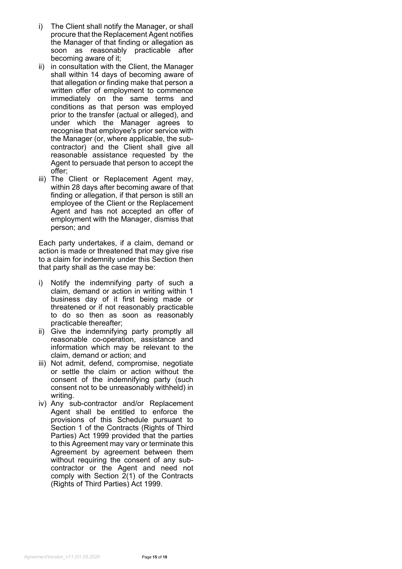- i) The Client shall notify the Manager, or shall procure that the Replacement Agent notifies the Manager of that finding or allegation as soon as reasonably practicable after becoming aware of it;
- ii) in consultation with the Client, the Manager shall within 14 days of becoming aware of that allegation or finding make that person a written offer of employment to commence immediately on the same terms and conditions as that person was employed prior to the transfer (actual or alleged), and under which the Manager agrees to recognise that employee's prior service with the Manager (or, where applicable, the subcontractor) and the Client shall give all reasonable assistance requested by the Agent to persuade that person to accept the offer;
- iii) The Client or Replacement Agent may, within 28 days after becoming aware of that finding or allegation, if that person is still an employee of the Client or the Replacement Agent and has not accepted an offer of employment with the Manager, dismiss that person; and

Each party undertakes, if a claim, demand or action is made or threatened that may give rise to a claim for indemnity under this Section then that party shall as the case may be:

- i) Notify the indemnifying party of such a claim, demand or action in writing within 1 business day of it first being made or threatened or if not reasonably practicable to do so then as soon as reasonably practicable thereafter;
- ii) Give the indemnifying party promptly all reasonable co-operation, assistance and information which may be relevant to the claim, demand or action; and
- iii) Not admit, defend, compromise, negotiate or settle the claim or action without the consent of the indemnifying party (such consent not to be unreasonably withheld) in writing.
- iv) Any sub-contractor and/or Replacement Agent shall be entitled to enforce the provisions of this Schedule pursuant to Section 1 of the Contracts (Rights of Third Parties) Act 1999 provided that the parties to this Agreement may vary or terminate this Agreement by agreement between them without requiring the consent of any subcontractor or the Agent and need not comply with Section 2(1) of the Contracts (Rights of Third Parties) Act 1999.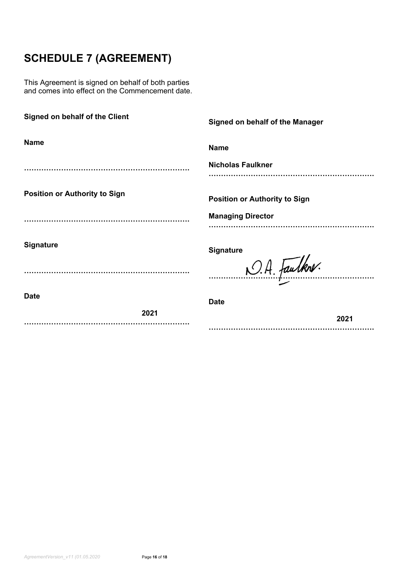## **SCHEDULE 7 (AGREEMENT)**

This Agreement is signed on behalf of both parties and comes into effect on the Commencement date.

| Signed on behalf of the Client       | Signed on behalf of the Manager      |  |
|--------------------------------------|--------------------------------------|--|
| <b>Name</b>                          | <b>Name</b>                          |  |
|                                      | <b>Nicholas Faulkner</b>             |  |
| <b>Position or Authority to Sign</b> | <b>Position or Authority to Sign</b> |  |
|                                      | <b>Managing Director</b>             |  |
| <b>Signature</b>                     | <b>Signature</b>                     |  |
|                                      | O.A. Faulkne.                        |  |
| <b>Date</b>                          | <b>Date</b>                          |  |
| 2021                                 | 2021                                 |  |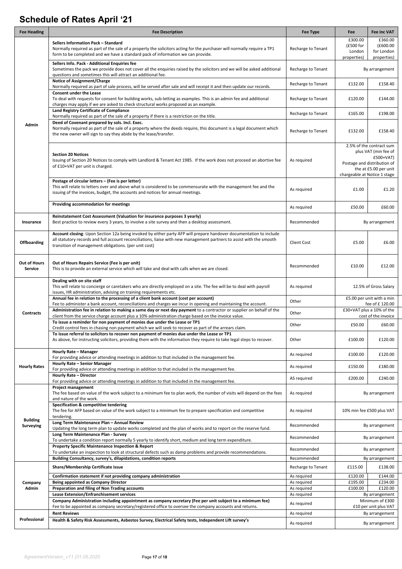## **Schedule of Rates April '21**

| <b>Fee Heading</b>                    | <b>Fee Description</b>                                                                                                                                                                                                                                                                               | Fee Type                                 | Fee                                                                                                                                                     | <b>Fee inc VAT</b>     |
|---------------------------------------|------------------------------------------------------------------------------------------------------------------------------------------------------------------------------------------------------------------------------------------------------------------------------------------------------|------------------------------------------|---------------------------------------------------------------------------------------------------------------------------------------------------------|------------------------|
|                                       | Sellers Information Pack - Standard                                                                                                                                                                                                                                                                  |                                          | £300.00                                                                                                                                                 | £360.00                |
|                                       | Normally required as part of the sale of a property the solicitors acting for the purchaser will normally require a TP1                                                                                                                                                                              | Recharge to Tenant                       | (£500 for<br>London                                                                                                                                     | (£600.00<br>for London |
|                                       | form to be completed and we have a standard pack of information we can provide.                                                                                                                                                                                                                      |                                          | properties)                                                                                                                                             | properties)            |
| Admin                                 | Sellers Info. Pack - Additional Enquiries fee<br>Sometimes the pack we provide does not cover all the enquiries raised by the solicitors and we will be asked additional<br>questions and sometimes this will attract an additional fee.                                                             | Recharge to Tenant                       | By arrangement                                                                                                                                          |                        |
|                                       | <b>Notice of Assignment/Charge</b><br>Normally required as part of sale process, will be served after sale and will receipt it and then update our records.                                                                                                                                          | Recharge to Tenant                       | £132.00                                                                                                                                                 | £158.40                |
|                                       | <b>Consent under the Lease</b><br>To deal with requests for consent for building works, sub-letting as examples. This is an admin fee and additional<br>charges may apply if we are asked to check structural works proposed as an example.                                                          | Recharge to Tenant                       | £120.00                                                                                                                                                 | £144.00                |
|                                       | Land Registry Certificate of Compliance<br>Normally required as part of the sale of a property if there is a restriction on the title.                                                                                                                                                               | Recharge to Tenant                       | £165.00                                                                                                                                                 | £198.00                |
|                                       | Deed of Covenant prepared by sols. Incl. Exec.<br>Normally required as part of the sale of a property where the deeds require, this document is a legal document which<br>the new owner will sign to say they abide by the lease/transfer.                                                           | Recharge to Tenant                       | £132.00                                                                                                                                                 | £158.40                |
|                                       | <b>Section 20 Notices</b><br>Issuing of Section 20 Notices to comply with Landlord & Tenant Act 1985. If the work does not proceed an abortive fee<br>of £10+VAT per unit is charged.                                                                                                                | As required                              | 2.5% of the contract sum<br>plus VAT (min fee of<br>$£500+VAT)$<br>Postage and distribution of<br>the at £5.00 per unit<br>chargeable at Notice 1 stage |                        |
|                                       | Postage of circular letters - (Fee is per letter)<br>This will relate to letters over and above what is considered to be commensurate with the management fee and the<br>issuing of the invoices, budget, the accounts and notices for annual meetings.                                              | As required                              | £1.00                                                                                                                                                   | £1.20                  |
|                                       | Providing accommodation for meetings                                                                                                                                                                                                                                                                 | As required                              | £50.00                                                                                                                                                  | £60.00                 |
| Insurance                             | Reinstatement Cost Assessment (Valuation for insurance purposes 3 yearly)<br>Best practice to review every 3 years, to involve a site survey and then a desktop assessment.                                                                                                                          | Recommended                              | By arrangement                                                                                                                                          |                        |
| <b>Offboarding</b>                    | Account closing: Upon Section 12a being invoked by either party AFP will prepare handover documentation to include<br>all statutory records and full account reconciliations, liaise with new management partners to assist with the smooth<br>transition of management obligations. (per unit cost) | <b>Client Cost</b>                       | £5.00                                                                                                                                                   | £6.00                  |
| <b>Out of Hours</b><br><b>Service</b> | Out of Hours Repairs Service (Fee is per unit)<br>This is to provide an external service which will take and deal with calls when we are closed.                                                                                                                                                     | Recommended                              | £10.00                                                                                                                                                  | £12.00                 |
|                                       | Dealing with on site staff<br>This will relate to concierge or caretakers who are directly employed on a site. The fee will be to deal with payroll<br>issues, HR administration, advising on training requirements etc.                                                                             | As required                              | 12.5% of Gross Salary                                                                                                                                   |                        |
| <b>Contracts</b>                      | Annual fee in relation to the processing of a client bank account (cost per account)<br>Fee to administer a bank account, reconciliations and charges we incur in opening and maintaining the account.                                                                                               | Other                                    | £5.00 per unit with a min<br>fee of £120.00                                                                                                             |                        |
|                                       | Administration fee in relation to making a same day or next day payment to a contractor or supplier on behalf of the<br>client from the service charge account plus a 10% administration charge based on the invoice value.                                                                          | Other                                    | £30+VAT plus a 10% of the<br>cost of the invoice                                                                                                        |                        |
|                                       | To issue a reminder for non payment of monies due under the Lease or TP1<br>Credit control fees in chasing non payment which we will seek to recover as part of the arrears claim.                                                                                                                   | Other                                    | £50.00                                                                                                                                                  | £60.00                 |
|                                       | To issue referral to solicitors to recover non payment of monies due under the Lease or TP1<br>As above, for instructing solicitors, providing them with the information they require to take legal steps to recover.                                                                                | Other                                    | £100.00                                                                                                                                                 | £120.00                |
| <b>Hourly Rates</b>                   | Hourly Rate - Manager<br>For providing advice or attending meetings in addition to that included in the management fee.                                                                                                                                                                              | As required                              | £100.00                                                                                                                                                 | £120.00                |
|                                       | Hourly Rate - Senior Manager<br>For providing advice or attending meetings in addition to that included in the management fee.                                                                                                                                                                       | As required                              | £150.00                                                                                                                                                 | £180.00                |
|                                       | Hourly Rate - Director<br>For providing advice or attending meetings in addition to that included in the management fee.                                                                                                                                                                             | AS required                              | £200.00                                                                                                                                                 | £240.00                |
| <b>Building</b><br>Surveying          | <b>Project management</b><br>The fee based on value of the work subject to a minimum fee to plan work, the number of visits will depend on the fees<br>and nature of the work.                                                                                                                       | As required                              | By arrangement                                                                                                                                          |                        |
|                                       | Specification & competitive tendering<br>The fee for AFP based on value of the work subject to a minimum fee to prepare specification and competitive<br>tendering.                                                                                                                                  | 10% min fee £500 plus VAT<br>As required |                                                                                                                                                         |                        |
|                                       | Long Term Maintenance Plan - Annual Review<br>Updating the long term plan to update works completed and the plan of works and to report on the reserve fund.                                                                                                                                         | Recommended                              | By arrangement                                                                                                                                          |                        |
|                                       | Long Term Maintenance Plan - Survey<br>To undertake a condition report normally 5 yearly to identify short, medium and long term expenditure.                                                                                                                                                        | Recommended                              | By arrangement                                                                                                                                          |                        |
|                                       | <b>Property Specific Maintenance Inspection &amp; Report</b><br>To undertake an inspection to look at structural defects such as damp problems and provide recommendations.                                                                                                                          | Recommended                              |                                                                                                                                                         | By arrangement         |
| Company<br>Admin                      | Building Consultancy, survey's, dilapidations, condition reports                                                                                                                                                                                                                                     | Recommended                              |                                                                                                                                                         | By arrangement         |
|                                       | Share/Membership Certificate issue                                                                                                                                                                                                                                                                   | Recharge to Tenant                       | £115.00                                                                                                                                                 | £138.00                |
|                                       | Confirmation statement if not providing company administration                                                                                                                                                                                                                                       | As required                              | £120.00                                                                                                                                                 | £144.00                |
|                                       | Being appointed as Company Director<br>Preparation and filing of Non Trading accounts                                                                                                                                                                                                                | As required<br>As required               | £195.00<br>£100.00                                                                                                                                      | £234.00<br>£120.00     |
|                                       | <b>Lease Extension/Enfranchisement services</b>                                                                                                                                                                                                                                                      | As required                              |                                                                                                                                                         | By arrangement         |
|                                       | Company Administration including appointment as company secretary (Fee per unit subject to a minimum fee)<br>Fee to be appointed as company secretary/registered office to oversee the company accounts and returns.                                                                                 | As required                              | Minimum of £300<br>£10 per unit plus VAT                                                                                                                |                        |
| Professional                          | <b>Rent Reviews</b>                                                                                                                                                                                                                                                                                  | As required                              |                                                                                                                                                         | By arrangement         |
|                                       | Health & Safety Risk Assessments, Asbestos Survey, Electrical Safety tests, Independent Lift survey's                                                                                                                                                                                                | As required                              |                                                                                                                                                         | By arrangement         |